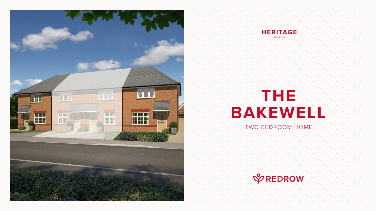# **THE BAKEWELL** TWO BEDROOM HOME







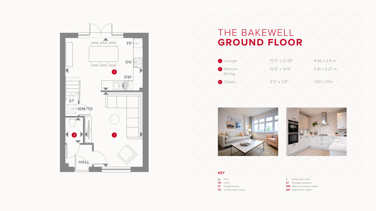### THE BAKEWELL **GROUND FLOOR**







- Dimensions start
- **ST** Storage cupboard
- **WM** Washing machine space
- **DW** Dishwasher space





#### **KEY**

- $\frac{100}{100}$  Hob
- **OV** Oven
- **FF** Fridge/freezer
- **TD** Tumble dryer space